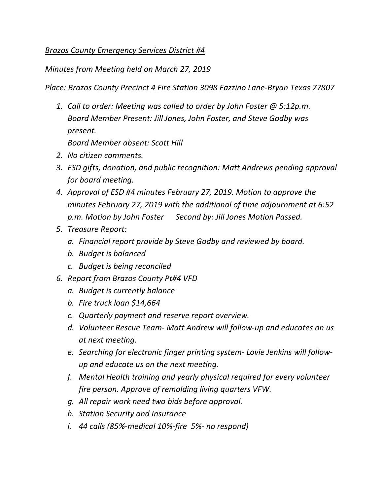## *Brazos County Emergency Services District #4*

*Minutes from Meeting held on March 27, 2019* 

*Place: Brazos County Precinct 4 Fire Station 3098 Fazzino Lane-Bryan Texas 77807* 

*1. Call to order: Meeting was called to order by John Foster @ 5:12p.m. Board Member Present: Jill Jones, John Foster, and Steve Godby was present. Board Member absent: Scott Hill* 

*2. No citizen comments.* 

- *3. ESD gifts, donation, and public recognition: Matt Andrews pending approval for board meeting.*
- *4. Approval of ESD #4 minutes February 27, 2019. Motion to approve the minutes February 27, 2019 with the additional of time adjournment at 6:52 p.m. Motion by John Foster Second by: Jill Jones Motion Passed.*
- *5. Treasure Report:* 
	- *a. Financial report provide by Steve Godby and reviewed by board.*
	- *b. Budget is balanced*
	- *c. Budget is being reconciled*
- *6. Report from Brazos County Pt#4 VFD* 
	- *a. Budget is currently balance*
	- *b. Fire truck loan \$14,664*
	- *c. Quarterly payment and reserve report overview.*
	- *d. Volunteer Rescue Team- Matt Andrew will follow-up and educates on us at next meeting.*
	- *e. Searching for electronic finger printing system- Lovie Jenkins will followup and educate us on the next meeting.*
	- *f. Mental Health training and yearly physical required for every volunteer fire person. Approve of remolding living quarters VFW.*
	- *g. All repair work need two bids before approval.*
	- *h. Station Security and Insurance*
	- *i. 44 calls (85%-medical 10%-fire 5%- no respond)*